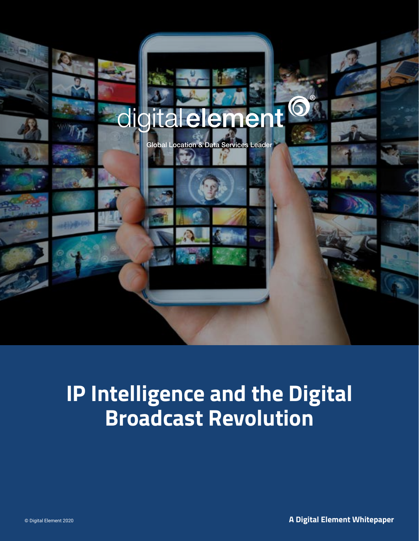

# **IP Intelligence and the Digital Broadcast Revolution**

© Digital Element 2020 **A Digital Element Whitepaper**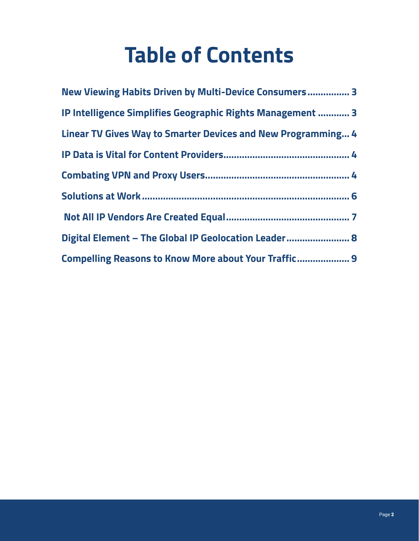# **Table of Contents**

| New Viewing Habits Driven by Multi-Device Consumers 3               |  |
|---------------------------------------------------------------------|--|
| IP Intelligence Simplifies Geographic Rights Management  3          |  |
| <b>Linear TV Gives Way to Smarter Devices and New Programming 4</b> |  |
|                                                                     |  |
|                                                                     |  |
|                                                                     |  |
|                                                                     |  |
| Digital Element - The Global IP Geolocation Leader 8                |  |
| Compelling Reasons to Know More about Your Traffic 9                |  |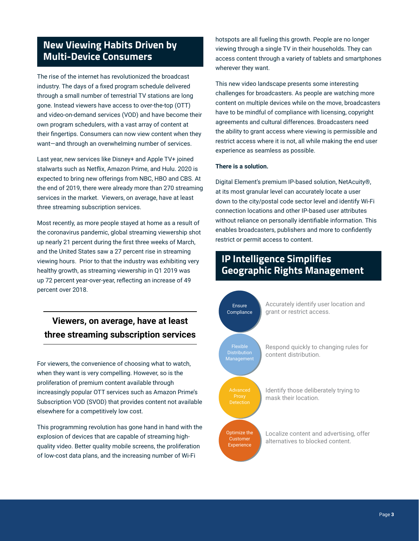# <span id="page-2-0"></span>**New Viewing Habits Driven by Multi-Device Consumers**

The rise of the internet has revolutionized the broadcast industry. The days of a fixed program schedule delivered through a small number of terrestrial TV stations are long gone. Instead viewers have access to over-the-top (OTT) and video-on-demand services (VOD) and have become their own program schedulers, with a vast array of content at their fingertips. Consumers can now view content when they want-and through an overwhelming number of services.

Last year, new services like Disney+ and Apple TV+ joined stalwarts such as Netflix, Amazon Prime, and Hulu. 2020 is expected to bring new offerings from NBC, HBO and CBS. At the end of 2019, there were already more than 270 streaming services in the market. Viewers, on average, have at least three streaming subscription services.

Most recently, as more people stayed at home as a result of the coronavirus pandemic, global streaming viewership shot up nearly 21 percent during the first three weeks of March, and the United States saw a 27 percent rise in streaming viewing hours. Prior to that the industry was exhibiting very healthy growth, as streaming viewership in Q1 2019 was up 72 percent year-over-year, reflecting an increase of 49 percent over 2018.

# **Viewers, on average, have at least three streaming subscription services**

For viewers, the convenience of choosing what to watch, when they want is very compelling. However, so is the proliferation of premium content available through increasingly popular OTT services such as Amazon Prime's Subscription VOD (SVOD) that provides content not available elsewhere for a competitively low cost.

This programming revolution has gone hand in hand with the explosion of devices that are capable of streaming highquality video. Better quality mobile screens, the proliferation of low-cost data plans, and the increasing number of Wi-Fi

hotspots are all fueling this growth. People are no longer viewing through a single TV in their households. They can access content through a variety of tablets and smartphones wherever they want.

This new video landscape presents some interesting challenges for broadcasters. As people are watching more content on multiple devices while on the move, broadcasters have to be mindful of compliance with licensing, copyright agreements and cultural differences. Broadcasters need the ability to grant access where viewing is permissible and restrict access where it is not, all while making the end user experience as seamless as possible.

#### **There is a solution.**

Digital Element's premium IP-based solution, NetAcuity®, at its most granular level can accurately locate a user down to the city/postal code sector level and identify Wi-Fi connection locations and other IP-based user attributes without reliance on personally identifiable information. This enables broadcasters, publishers and more to confidently restrict or permit access to content.

## **IP Intelligence Simplifies Geographic Rights Management**

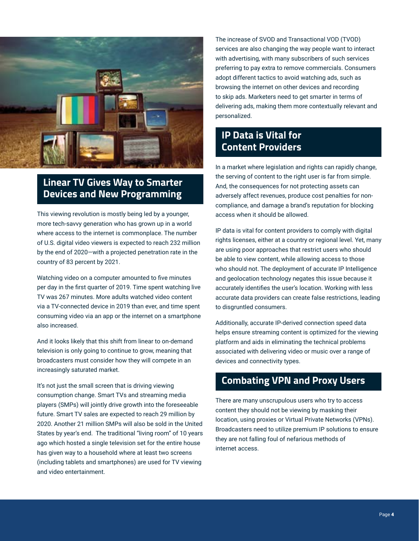<span id="page-3-0"></span>

# **Linear TV Gives Way to Smarter Devices and New Programming**

This viewing revolution is mostly being led by a younger, more tech-savvy generation who has grown up in a world where access to the internet is commonplace. The number of U.S. digital video viewers is expected to reach 232 million by the end of 2020―with a projected penetration rate in the country of 83 percent by 2021.

Watching video on a computer amounted to five minutes per day in the first quarter of 2019. Time spent watching live TV was 267 minutes. More adults watched video content via a TV-connected device in 2019 than ever, and time spent consuming video via an app or the internet on a smartphone also increased.

And it looks likely that this shift from linear to on-demand television is only going to continue to grow, meaning that broadcasters must consider how they will compete in an increasingly saturated market.

It's not just the small screen that is driving viewing consumption change. Smart TVs and streaming media players (SMPs) will jointly drive growth into the foreseeable future. Smart TV sales are expected to reach 29 million by 2020. Another 21 million SMPs will also be sold in the United States by year's end. The traditional "living room" of 10 years ago which hosted a single television set for the entire house has given way to a household where at least two screens (including tablets and smartphones) are used for TV viewing and video entertainment.

The increase of SVOD and Transactional VOD (TVOD) services are also changing the way people want to interact with advertising, with many subscribers of such services preferring to pay extra to remove commercials. Consumers adopt different tactics to avoid watching ads, such as browsing the internet on other devices and recording to skip ads. Marketers need to get smarter in terms of delivering ads, making them more contextually relevant and personalized.

# **IP Data is Vital for Content Providers**

In a market where legislation and rights can rapidly change, the serving of content to the right user is far from simple. And, the consequences for not protecting assets can adversely affect revenues, produce cost penalties for noncompliance, and damage a brand's reputation for blocking access when it should be allowed.

IP data is vital for content providers to comply with digital rights licenses, either at a country or regional level. Yet, many are using poor approaches that restrict users who should be able to view content, while allowing access to those who should not. The deployment of accurate IP Intelligence and geolocation technology negates this issue because it accurately identifies the user's location. Working with less accurate data providers can create false restrictions, leading to disgruntled consumers.

Additionally, accurate IP-derived connection speed data helps ensure streaming content is optimized for the viewing platform and aids in eliminating the technical problems associated with delivering video or music over a range of devices and connectivity types.

# **Combating VPN and Proxy Users**

There are many unscrupulous users who try to access content they should not be viewing by masking their location, using proxies or Virtual Private Networks (VPNs). Broadcasters need to utilize premium IP solutions to ensure they are not falling foul of nefarious methods of internet access.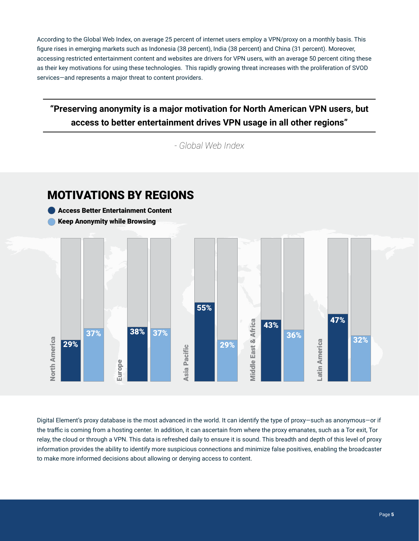According to the Global Web Index, on average 25 percent of internet users employ a VPN/proxy on a monthly basis. This figure rises in emerging markets such as Indonesia (38 percent), India (38 percent) and China (31 percent). Moreover, accessing restricted entertainment content and websites are drivers for VPN users, with an average 50 percent citing these as their key motivations for using these technologies. This rapidly growing threat increases with the proliferation of SVOD services―and represents a major threat to content providers.

# **"Preserving anonymity is a major motivation for North American VPN users, but access to better entertainment drives VPN usage in all other regions"**

*- Global Web Index* 



Digital Element's proxy database is the most advanced in the world. It can identify the type of proxy―such as anonymous―or if the traffic is coming from a hosting center. In addition, it can ascertain from where the proxy emanates, such as a Tor exit, Tor relay, the cloud or through a VPN. This data is refreshed daily to ensure it is sound. This breadth and depth of this level of proxy information provides the ability to identify more suspicious connections and minimize false positives, enabling the broadcaster to make more informed decisions about allowing or denying access to content.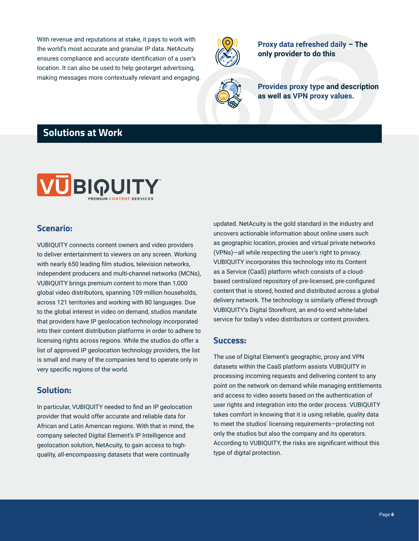<span id="page-5-0"></span>With revenue and reputations at stake, it pays to work with the world's most accurate and granular IP data. NetAcuity ensures compliance and accurate identification of a user's location. It can also be used to help geotarget advertising, making messages more contextually relevant and engaging.



**Proxy data refreshed daily – The only provider to do this**



**Provides proxy type and description as well as VPN proxy values.**

# **Solutions at Work**



#### **Scenario:**

VUBIQUITY connects content owners and video providers to deliver entertainment to viewers on any screen. Working with nearly 650 leading film studios, television networks, independent producers and multi-channel networks (MCNs), VUBIQUITY brings premium content to more than 1,000 global video distributors, spanning 109 million households, across 121 territories and working with 80 languages. Due to the global interest in video on demand, studios mandate that providers have IP geolocation technology incorporated into their content distribution platforms in order to adhere to licensing rights across regions. While the studios do offer a list of approved IP geolocation technology providers, the list is small and many of the companies tend to operate only in very specific regions of the world.

#### **Solution:**

In particular, VUBIQUITY needed to find an IP geolocation provider that would offer accurate and reliable data for African and Latin American regions. With that in mind, the company selected Digital Element's IP Intelligence and geolocation solution, NetAcuity, to gain access to highquality, all-encompassing datasets that were continually

updated. NetAcuity is the gold standard in the industry and uncovers actionable information about online users such as geographic location, proxies and virtual private networks (VPNs)―all while respecting the user's right to privacy. VUBIQUITY incorporates this technology into its Content as a Service (CaaS) platform which consists of a cloudbased centralized repository of pre-licensed, pre-configured content that is stored, hosted and distributed across a global delivery network. The technology is similarly offered through VUBIQUITY's Digital Storefront, an end-to-end white-label service for today's video distributors or content providers.

#### **Success:**

The use of Digital Element's geographic, proxy and VPN datasets within the CaaS platform assists VUBIQUITY in processing incoming requests and delivering content to any point on the network on demand while managing entitlements and access to video assets based on the authentication of user rights and integration into the order process. VUBIQUITY takes comfort in knowing that it is using reliable, quality data to meet the studios' licensing requirements―protecting not only the studios but also the company and its operators. According to VUBIQUITY, the risks are significant without this type of digital protection.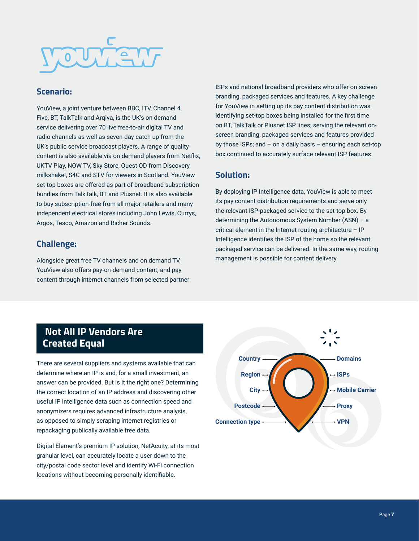# <span id="page-6-0"></span>**RUTHERT**

#### **Scenario:**

YouView, a joint venture between BBC, ITV, Channel 4, Five, BT, TalkTalk and Argiva, is the UK's on demand service delivering over 70 live free-to-air digital TV and radio channels as well as seven-day catch up from the UK's public service broadcast players. A range of quality content is also available via on demand players from Netflix, UKTV Play, NOW TV, Sky Store, Quest OD from Discovery, milkshake!, S4C and STV for viewers in Scotland. YouView set-top boxes are offered as part of broadband subscription bundles from TalkTalk, BT and Plusnet. It is also available to buy subscription-free from all major retailers and many independent electrical stores including John Lewis, Currys, Argos, Tesco, Amazon and Richer Sounds.

#### **Challenge:**

Alongside great free TV channels and on demand TV, YouView also offers pay-on-demand content, and pay content through internet channels from selected partner ISPs and national broadband providers who offer on screen branding, packaged services and features. A key challenge for YouView in setting up its pay content distribution was identifying set-top boxes being installed for the first time on BT, TalkTalk or Plusnet ISP lines; serving the relevant onscreen branding, packaged services and features provided by those ISPs; and – on a daily basis – ensuring each set-top box continued to accurately surface relevant ISP features.

#### **Solution:**

By deploying IP Intelligence data, YouView is able to meet its pay content distribution requirements and serve only the relevant ISP-packaged service to the set-top box. By determining the Autonomous System Number (ASN) – a critical element in the Internet routing architecture – IP Intelligence identifies the ISP of the home so the relevant packaged service can be delivered. In the same way, routing management is possible for content delivery.

# **Not All IP Vendors Are Created Equal**

There are several suppliers and systems available that can determine where an IP is and, for a small investment, an answer can be provided. But is it the right one? Determining the correct location of an IP address and discovering other useful IP intelligence data such as connection speed and anonymizers requires advanced infrastructure analysis, as opposed to simply scraping internet registries or repackaging publically available free data.

Digital Element's premium IP solution, NetAcuity, at its most granular level, can accurately locate a user down to the city/postal code sector level and identify Wi-Fi connection locations without becoming personally identifiable.

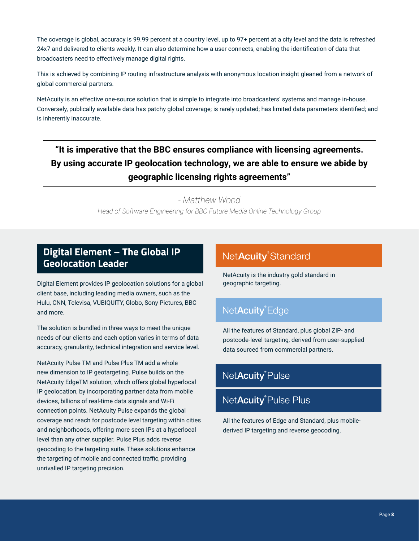<span id="page-7-0"></span>The coverage is global, accuracy is 99.99 percent at a country level, up to 97+ percent at a city level and the data is refreshed 24x7 and delivered to clients weekly. It can also determine how a user connects, enabling the identification of data that broadcasters need to effectively manage digital rights.

This is achieved by combining IP routing infrastructure analysis with anonymous location insight gleaned from a network of global commercial partners.

NetAcuity is an effective one-source solution that is simple to integrate into broadcasters' systems and manage in-house. Conversely, publically available data has patchy global coverage; is rarely updated; has limited data parameters identified; and is inherently inaccurate.

# **"It is imperative that the BBC ensures compliance with licensing agreements. By using accurate IP geolocation technology, we are able to ensure we abide by geographic licensing rights agreements"**

*- Matthew Wood Head of Software Engineering for BBC Future Media Online Technology Group*

# **Digital Element – The Global IP Geolocation Leader**

Digital Element provides IP geolocation solutions for a global client base, including leading media owners, such as the Hulu, CNN, Televisa, VUBIQUITY, Globo, Sony Pictures, BBC and more.

The solution is bundled in three ways to meet the unique needs of our clients and each option varies in terms of data accuracy, granularity, technical integration and service level.

NetAcuity Pulse TM and Pulse Plus TM add a whole new dimension to IP geotargeting. Pulse builds on the NetAcuity EdgeTM solution, which offers global hyperlocal IP geolocation, by incorporating partner data from mobile devices, billions of real-time data signals and Wi-Fi connection points. NetAcuity Pulse expands the global coverage and reach for postcode level targeting within cities and neighborhoods, offering more seen IPs at a hyperlocal level than any other supplier. Pulse Plus adds reverse geocoding to the targeting suite. These solutions enhance the targeting of mobile and connected traffic, providing unrivalled IP targeting precision.

# NetAcuity<sup>®</sup>Standard

NetAcuity is the industry gold standard in geographic targeting.

# NetAcuity<sup>®</sup>Edge

All the features of Standard, plus global ZIP- and postcode-level targeting, derived from user-supplied data sourced from commercial partners.

# NetAcuity<sup>®</sup>Pulse

# NetAcuity<sup>®</sup> Pulse Plus

All the features of Edge and Standard, plus mobilederived IP targeting and reverse geocoding.